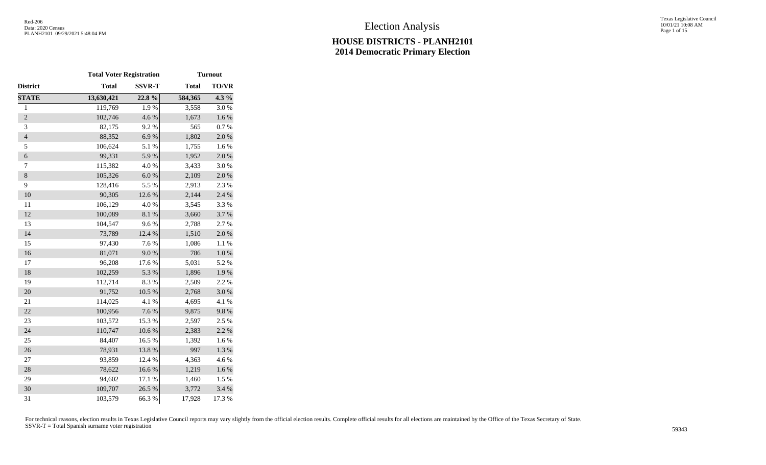Texas Legislative Council 10/01/21 10:08 AM Page 1 of 15

|                          | <b>Total Voter Registration</b> |               | <b>Turnout</b> |           |  |  |  |  |
|--------------------------|---------------------------------|---------------|----------------|-----------|--|--|--|--|
| <b>District</b>          | <b>Total</b>                    | <b>SSVR-T</b> | <b>Total</b>   | TO/VR     |  |  |  |  |
| <b>STATE</b>             | 13,630,421                      | 22.8%         | 584,365        | $4.3\%$   |  |  |  |  |
| $\mathbf{1}$             | 119,769                         | 1.9%          | 3,558          | 3.0%      |  |  |  |  |
| $\overline{2}$           | 102,746                         | 4.6 %         | 1,673          | $1.6\ \%$ |  |  |  |  |
| 3                        | 82,175                          | 9.2%          | 565            | 0.7 %     |  |  |  |  |
| $\overline{\mathcal{L}}$ | 88,352                          | 6.9%          | 1,802          | 2.0%      |  |  |  |  |
| 5                        | 106,624                         | 5.1 %         | 1,755          | 1.6%      |  |  |  |  |
| $\boldsymbol{6}$         | 99,331                          | 5.9%          | 1,952          | $2.0\ \%$ |  |  |  |  |
| $\tau$                   | 115,382                         | 4.0%          | 3,433          | 3.0%      |  |  |  |  |
| $\,8\,$                  | 105,326                         | 6.0 %         | 2,109          | 2.0%      |  |  |  |  |
| 9                        | 128,416                         | 5.5 %         | 2,913          | 2.3%      |  |  |  |  |
| 10                       | 90,305                          | 12.6 %        | 2,144          | 2.4 %     |  |  |  |  |
| 11                       | 106,129                         | 4.0%          | 3,545          | 3.3%      |  |  |  |  |
| 12                       | 100,089                         | $8.1~\%$      | 3,660          | 3.7%      |  |  |  |  |
| 13                       | 104,547                         | 9.6%          | 2,788          | 2.7 %     |  |  |  |  |
| 14                       | 73,789                          | 12.4 %        | 1,510          | 2.0%      |  |  |  |  |
| 15                       | 97,430                          | 7.6%          | 1,086          | 1.1 %     |  |  |  |  |
| 16                       | 81,071                          | 9.0%          | 786            | $1.0\ \%$ |  |  |  |  |
| 17                       | 96,208                          | 17.6 %        | 5,031          | 5.2 %     |  |  |  |  |
| 18                       | 102,259                         | 5.3 %         | 1,896          | 1.9%      |  |  |  |  |
| 19                       | 112,714                         | 8.3 %         | 2,509          | 2.2 %     |  |  |  |  |
| 20                       | 91,752                          | 10.5 %        | 2,768          | 3.0%      |  |  |  |  |
| 21                       | 114,025                         | 4.1 %         | 4,695          | 4.1 %     |  |  |  |  |
| 22                       | 100,956                         | 7.6 %         | 9,875          | 9.8%      |  |  |  |  |
| 23                       | 103,572                         | 15.3 %        | 2,597          | 2.5 %     |  |  |  |  |
| 24                       | 110,747                         | $10.6~\%$     | 2,383          | 2.2 %     |  |  |  |  |
| 25                       | 84,407                          | 16.5 %        | 1,392          | 1.6%      |  |  |  |  |
| 26                       | 78,931                          | 13.8 %        | 997            | 1.3 %     |  |  |  |  |
| $27\,$                   | 93,859                          | 12.4 %        | 4,363          | 4.6%      |  |  |  |  |
| 28                       | 78,622                          | 16.6%         | 1,219          | 1.6%      |  |  |  |  |
| 29                       | 94,602                          | 17.1 %        | 1,460          | 1.5 %     |  |  |  |  |
| 30                       | 109,707                         | 26.5 %        | 3,772          | 3.4 %     |  |  |  |  |
| 31                       | 103,579                         | 66.3%         | 17,928         | 17.3 %    |  |  |  |  |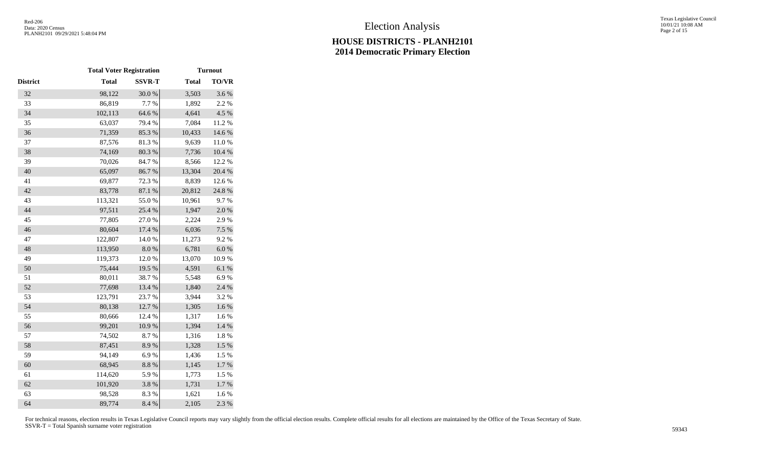Texas Legislative Council 10/01/21 10:08 AM Page 2 of 15

|                 | <b>Total Voter Registration</b> |               | <b>Turnout</b> |              |  |  |  |  |
|-----------------|---------------------------------|---------------|----------------|--------------|--|--|--|--|
| <b>District</b> | <b>Total</b>                    | <b>SSVR-T</b> | <b>Total</b>   | <b>TO/VR</b> |  |  |  |  |
| 32              | 98,122                          | 30.0%         | 3,503          | 3.6%         |  |  |  |  |
| 33              | 86,819                          | 7.7 %         | 1,892          | 2.2 %        |  |  |  |  |
| 34              | 102,113                         | 64.6%         | 4,641          | 4.5 %        |  |  |  |  |
| 35              | 63,037                          | 79.4 %        | 7,084          | 11.2%        |  |  |  |  |
| 36              | 71,359                          | 85.3%         | 10,433         | 14.6 %       |  |  |  |  |
| 37              | 87,576                          | 81.3%         | 9,639          | $11.0\ \%$   |  |  |  |  |
| 38              | 74,169                          | 80.3 %        | 7,736          | $10.4~\%$    |  |  |  |  |
| 39              | 70,026                          | 84.7%         | 8,566          | 12.2 %       |  |  |  |  |
| 40              | 65,097                          | 86.7%         | 13,304         | 20.4 %       |  |  |  |  |
| 41              | 69,877                          | 72.3 %        | 8,839          | 12.6%        |  |  |  |  |
| 42              | 83,778                          | 87.1 %        | 20,812         | 24.8%        |  |  |  |  |
| 43              | 113,321                         | 55.0%         | 10,961         | 9.7%         |  |  |  |  |
| 44              | 97,511                          | 25.4 %        | 1,947          | 2.0%         |  |  |  |  |
| 45              | 77,805                          | 27.0%         | 2,224          | 2.9%         |  |  |  |  |
| 46              | 80,604                          | 17.4 %        | 6,036          | 7.5 %        |  |  |  |  |
| 47              | 122,807                         | 14.0%         | 11,273         | 9.2%         |  |  |  |  |
| 48              | 113,950                         | $8.0\ \%$     | 6,781          | $6.0\ \%$    |  |  |  |  |
| 49              | 119,373                         | 12.0%         | 13,070         | 10.9%        |  |  |  |  |
| 50              | 75,444                          | 19.5 %        | 4,591          | 6.1%         |  |  |  |  |
| 51              | 80,011                          | 38.7%         | 5,548          | 6.9%         |  |  |  |  |
| 52              | 77,698                          | 13.4 %        | 1,840          | 2.4 %        |  |  |  |  |
| 53              | 123,791                         | 23.7%         | 3,944          | 3.2%         |  |  |  |  |
| 54              | 80,138                          | 12.7%         | 1,305          | 1.6 %        |  |  |  |  |
| 55              | 80,666                          | 12.4 %        | 1,317          | 1.6 %        |  |  |  |  |
| 56              | 99,201                          | $10.9\ \%$    | 1,394          | $1.4~\%$     |  |  |  |  |
| 57              | 74,502                          | 8.7%          | 1,316          | $1.8\ \%$    |  |  |  |  |
| 58              | 87,451                          | 8.9%          | 1,328          | $1.5~\%$     |  |  |  |  |
| 59              | 94,149                          | 6.9%          | 1,436          | 1.5 %        |  |  |  |  |
| 60              | 68,945                          | $8.8~\%$      | 1,145          | 1.7%         |  |  |  |  |
| 61              | 114,620                         | 5.9%          | 1,773          | 1.5 %        |  |  |  |  |
| 62              | 101,920                         | 3.8 %         | 1,731          | $1.7~\%$     |  |  |  |  |
| 63              | 98,528                          | 8.3 %         | 1,621          | 1.6%         |  |  |  |  |
| 64              | 89,774                          | 8.4 %         | 2,105          | 2.3 %        |  |  |  |  |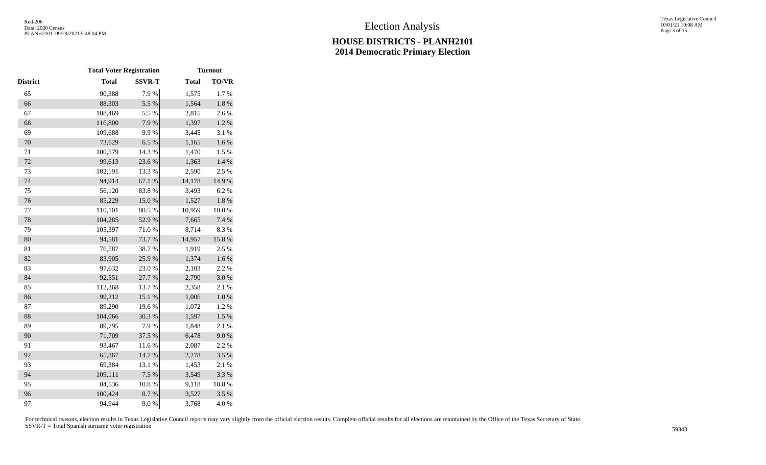|          | <b>Total Voter Registration</b> |               | <b>Turnout</b> |              |  |  |  |  |
|----------|---------------------------------|---------------|----------------|--------------|--|--|--|--|
| District | <b>Total</b>                    | <b>SSVR-T</b> | <b>Total</b>   | <b>TO/VR</b> |  |  |  |  |
| 65       | 90,388                          | 7.9%          | 1,575          | 1.7%         |  |  |  |  |
| 66       | 88,303                          | 5.5 %         | 1,564          | $1.8~\%$     |  |  |  |  |
| 67       | 108,469                         | 5.5 %         | 2,815          | 2.6%         |  |  |  |  |
| 68       | 116,800                         | 7.9%          | 1,397          | $1.2~\%$     |  |  |  |  |
| 69       | 109,688                         | 9.9%          | 3,445          | 3.1 %        |  |  |  |  |
| 70       | 73,629                          | 6.5%          | 1,165          | 1.6%         |  |  |  |  |
| 71       | 100,579                         | 14.3 %        | 1,470          | 1.5 %        |  |  |  |  |
| 72       | 99,613                          | 23.6%         | 1,363          | 1.4 %        |  |  |  |  |
| 73       | 102,191                         | 13.3 %        | 2,590          | 2.5 %        |  |  |  |  |
| 74       | 94,914                          | 67.1 %        | 14,178         | 14.9%        |  |  |  |  |
| 75       | 56,120                          | 83.8%         | 3,493          | 6.2%         |  |  |  |  |
| 76       | 85,229                          | $15.0\ \%$    | 1,527          | $1.8~\%$     |  |  |  |  |
| 77       | 110,101                         | 80.5 %        | 10,959         | 10.0%        |  |  |  |  |
| 78       | 104,285                         | 52.9%         | 7,665          | 7.4 %        |  |  |  |  |
| 79       | 105,397                         | 71.0%         | 8,714          | 8.3%         |  |  |  |  |
| 80       | 94,581                          | 73.7%         | 14,957         | 15.8 %       |  |  |  |  |
| 81       | 76,587                          | 38.7%         | 1,919          | 2.5 %        |  |  |  |  |
| 82       | 83,905                          | 25.9%         | 1,374          | 1.6 %        |  |  |  |  |
| 83       | 97,632                          | 23.0%         | 2,103          | 2.2%         |  |  |  |  |
| 84       | 92,551                          | 27.7 %        | 2,790          | 3.0%         |  |  |  |  |
| 85       | 112,368                         | 13.7%         | 2,358          | 2.1%         |  |  |  |  |
| 86       | 99,212                          | 15.1 %        | 1,006          | $1.0\ \%$    |  |  |  |  |
| 87       | 89,290                          | 19.6%         | 1,072          | 1.2%         |  |  |  |  |
| 88       | 104,066                         | 30.3 %        | 1,597          | $1.5~\%$     |  |  |  |  |
| 89       | 89,795                          | 7.9%          | 1,848          | 2.1 %        |  |  |  |  |
| 90       | 71,709                          | 37.5 %        | 6,478          | 9.0%         |  |  |  |  |
| 91       | 93,467                          | 11.6 %        | 2,087          | 2.2 %        |  |  |  |  |
| 92       | 65,867                          | 14.7 %        | 2,278          | 3.5 %        |  |  |  |  |
| 93       | 69,384                          | 13.1 %        | 1,453          | 2.1%         |  |  |  |  |
| 94       | 109,111                         | 7.5 %         | 3,549          | 3.3 %        |  |  |  |  |
| 95       | 84,536                          | 10.8%         | 9,118          | $10.8~\%$    |  |  |  |  |
| 96       | 100,424                         | 8.7%          | 3,527          | 3.5%         |  |  |  |  |
| 97       | 94,944                          | 9.0 %         | 3,768          | 4.0%         |  |  |  |  |
|          |                                 |               |                |              |  |  |  |  |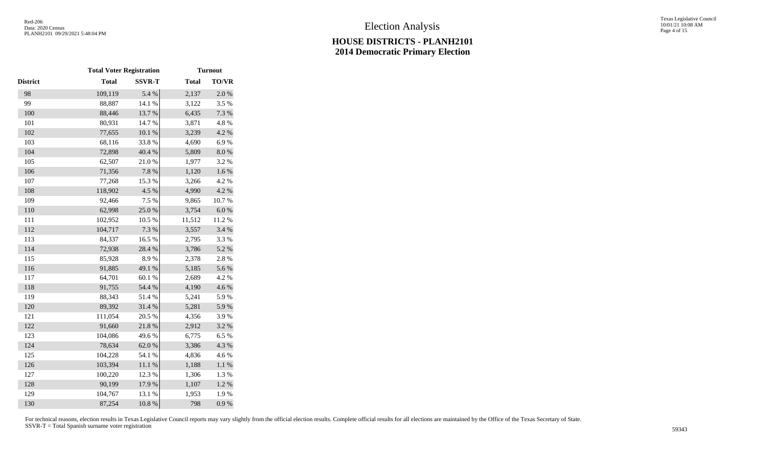Texas Legislative Council 10/01/21 10:08 AM Page 4 of 15

|                 | <b>Total Voter Registration</b> |               | <b>Turnout</b> |           |  |  |  |  |
|-----------------|---------------------------------|---------------|----------------|-----------|--|--|--|--|
| <b>District</b> | <b>Total</b>                    | <b>SSVR-T</b> | <b>Total</b>   | TO/VR     |  |  |  |  |
| 98              | 109,119                         | 5.4 %         | 2,137          | 2.0%      |  |  |  |  |
| 99              | 88,887                          | 14.1 %        | 3,122          | 3.5 %     |  |  |  |  |
| 100             | 88,446                          | 13.7 %        | 6,435          | 7.3 %     |  |  |  |  |
| 101             | 80,931                          | 14.7 %        | 3,871          | 4.8%      |  |  |  |  |
| 102             | 77,655                          | 10.1%         | 3,239          | 4.2 %     |  |  |  |  |
| 103             | 68,116                          | 33.8%         | 4,690          | 6.9%      |  |  |  |  |
| 104             | 72,898                          | 40.4 %        | 5,809          | $8.0\ \%$ |  |  |  |  |
| 105             | 62,507                          | 21.0%         | 1,977          | 3.2%      |  |  |  |  |
| 106             | 71,356                          | 7.8 %         | 1,120          | $1.6\ \%$ |  |  |  |  |
| 107             | 77,268                          | 15.3%         | 3,266          | 4.2 %     |  |  |  |  |
| 108             | 118,902                         | 4.5 %         | 4,990          | 4.2 %     |  |  |  |  |
| 109             | 92,466                          | 7.5 %         | 9,865          | 10.7%     |  |  |  |  |
| 110             | 62,998                          | 25.0%         | 3,754          | $6.0~\%$  |  |  |  |  |
| 111             | 102,952                         | 10.5 %        | 11,512         | 11.2%     |  |  |  |  |
| 112             | 104,717                         | 7.3 %         | 3,557          | 3.4 %     |  |  |  |  |
| 113             | 84,337                          | 16.5 %        | 2,795          | 3.3 %     |  |  |  |  |
| 114             | 72,938                          | 28.4 %        | 3,786          | 5.2 %     |  |  |  |  |
| 115             | 85,928                          | 8.9%          | 2,378          | 2.8 %     |  |  |  |  |
| 116             | 91,885                          | 49.1 %        | 5,185          | 5.6%      |  |  |  |  |
| 117             | 64,701                          | 60.1%         | 2,689          | 4.2 %     |  |  |  |  |
| 118             | 91,755                          | 54.4 %        | 4,190          | 4.6 %     |  |  |  |  |
| 119             | 88,343                          | 51.4%         | 5,241          | 5.9%      |  |  |  |  |
| 120             | 89,392                          | 31.4 %        | 5,281          | 5.9%      |  |  |  |  |
| 121             | 111,054                         | 20.5 %        | 4,356          | 3.9%      |  |  |  |  |
| 122             | 91,660                          | 21.8%         | 2,912          | 3.2 %     |  |  |  |  |
| 123             | 104,086                         | 49.6%         | 6,775          | 6.5%      |  |  |  |  |
| 124             | 78,634                          | 62.0%         | 3,386          | 4.3 %     |  |  |  |  |
| 125             | 104,228                         | 54.1 %        | 4,836          | 4.6%      |  |  |  |  |
| 126             | 103,394                         | $11.1\ \%$    | 1,188          | $1.1~\%$  |  |  |  |  |
| 127             | 100,220                         | 12.3 %        | 1,306          | 1.3 %     |  |  |  |  |
| 128             | 90,199                          | 17.9%         | 1,107          | $1.2~\%$  |  |  |  |  |
| 129             | 104,767                         | 13.1 %        | 1,953          | 1.9%      |  |  |  |  |
| 130             | 87,254                          | 10.8 %        | 798            | 0.9 %     |  |  |  |  |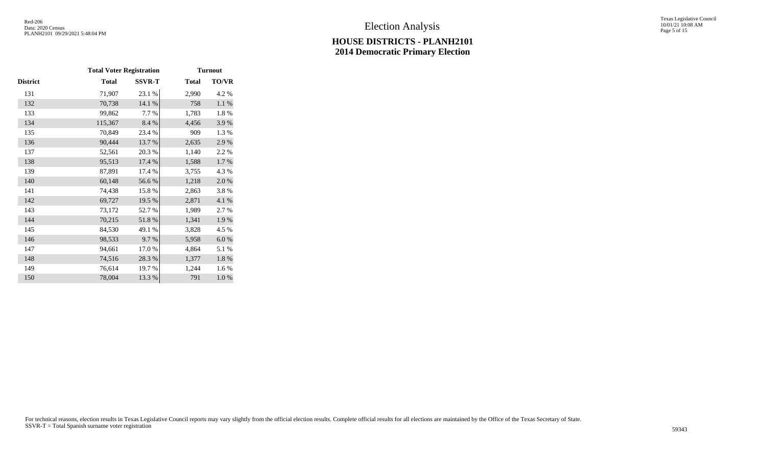Texas Legislative Council 10/01/21 10:08 AM Page 5 of 15

|          | <b>Total Voter Registration</b> |               | <b>Turnout</b> |           |  |  |  |
|----------|---------------------------------|---------------|----------------|-----------|--|--|--|
| District | <b>Total</b>                    | <b>SSVR-T</b> | <b>Total</b>   | TO/VR     |  |  |  |
| 131      | 71,907                          | 23.1 %        | 2,990          | 4.2 %     |  |  |  |
| 132      | 70,738                          | 14.1 %        | 758            | 1.1 %     |  |  |  |
| 133      | 99,862                          | 7.7 %         | 1,783          | 1.8%      |  |  |  |
| 134      | 115,367                         | 8.4 %         | 4,456          | 3.9%      |  |  |  |
| 135      | 70,849                          | 23.4 %        | 909            | 1.3%      |  |  |  |
| 136      | 90,444                          | 13.7 %        | 2,635          | 2.9%      |  |  |  |
| 137      | 52,561                          | 20.3%         | 1,140          | 2.2 %     |  |  |  |
| 138      | 95,513                          | 17.4 %        | 1,588          | $1.7~\%$  |  |  |  |
| 139      | 87,891                          | 17.4 %        | 3,755          | 4.3 %     |  |  |  |
| 140      | 60,148                          | 56.6%         | 1,218          | $2.0\ \%$ |  |  |  |
| 141      | 74,438                          | 15.8%         | 2,863          | 3.8%      |  |  |  |
| 142      | 69,727                          | 19.5 %        | 2,871          | 4.1 %     |  |  |  |
| 143      | 73,172                          | 52.7 %        | 1,989          | 2.7 %     |  |  |  |
| 144      | 70,215                          | 51.8%         | 1,341          | 1.9%      |  |  |  |
| 145      | 84,530                          | 49.1 %        | 3,828          | 4.5 %     |  |  |  |
| 146      | 98,533                          | 9.7%          | 5,958          | $6.0\ \%$ |  |  |  |
| 147      | 94,661                          | 17.0%         | 4,864          | 5.1 %     |  |  |  |
| 148      | 74,516                          | 28.3 %        | 1,377          | $1.8~\%$  |  |  |  |
| 149      | 76,614                          | 19.7 %        | 1,244          | 1.6%      |  |  |  |
| 150      | 78,004                          | 13.3 %        | 791            | 1.0%      |  |  |  |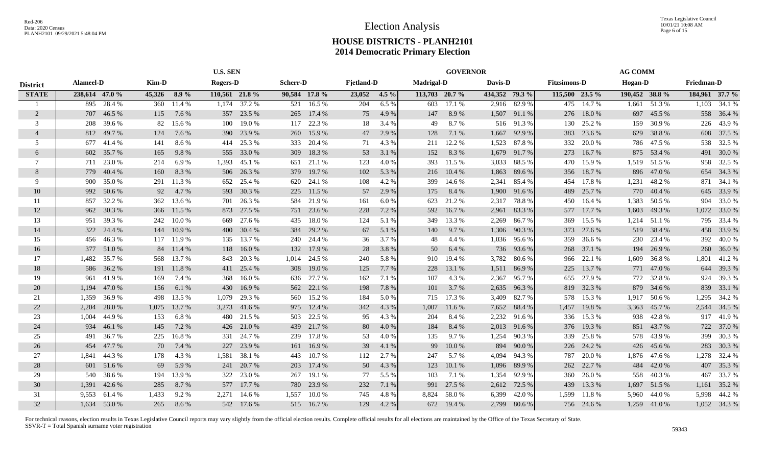|                 | <b>U.S. SEN</b> |              |        | <b>GOVERNOR</b> |                 |            |                 |            |                   | <b>AG COMM</b> |                   |            |         |                |                     |            |                |              |                   |                |
|-----------------|-----------------|--------------|--------|-----------------|-----------------|------------|-----------------|------------|-------------------|----------------|-------------------|------------|---------|----------------|---------------------|------------|----------------|--------------|-------------------|----------------|
| <b>District</b> | Alameel-D       |              | Kim-D  |                 | <b>Rogers-D</b> |            | <b>Scherr-D</b> |            | <b>Fjetland-D</b> |                | <b>Madrigal-D</b> |            | Davis-D |                | <b>Fitzsimons-D</b> |            | Hogan-D        |              | <b>Friedman-D</b> |                |
| <b>STATE</b>    | 238,614 47.0 %  |              | 45,326 | $8.9\%$         | 110,561 21.8 %  |            | 90,584 17.8 %   |            | 23,052            | $4.5\%$        | 113,703 20.7 %    |            |         | 434,352 79.3 % | 115,500 23.5 %      |            | 190,452 38.8 % |              |                   | 184,961 37.7 % |
|                 | 895             | 28.4 %       | 360    | 11.4%           | 1,174           | 37.2 %     | 521             | 16.5 %     | 204               | 6.5%           | 603               | 17.1 %     |         | 2,916 82.9 %   | 475                 | 14.7 %     | 1,661          | 51.3%        | 1,103             | 34.1 %         |
| $\overline{2}$  | 707             | 46.5 %       | 115    | 7.6 %           | 357             | 23.5 %     | 265             | 17.4 %     | 75                | 4.9 %          | 147               | 8.9%       | 1,507   | 91.1 %         | 276                 | 18.0%      | 697            | 45.5 %       |                   | 558 36.4 %     |
| 3               | 208             | 39.6%        | 82     | 15.6 %          | 100             | 19.0%      | 117             | 22.3 %     | 18                | 3.4 %          | 49                | 8.7%       | 516     | 91.3%          | 130                 | 25.2 %     | 159            | 30.9%        |                   | 226 43.9 %     |
| $\overline{4}$  | 812             | 49.7%        | 124    | 7.6 %           | 390             | 23.9 %     | 260             | 15.9%      | 47                | 2.9 %          | 128               | 7.1 %      | 1,667   | 92.9 %         | 383                 | 23.6 %     | 629            | 38.8%        |                   | 608 37.5 %     |
| 5               | 677             | 41.4 %       | 141    | 8.6%            | 414             | 25.3 %     | 333             | 20.4 %     | 71                | 4.3 %          | 211               | 12.2 %     | 1,523   | 87.8%          | 332                 | 20.0%      | 786            | 47.5 %       | 538               | 32.5 %         |
| 6               | 602             | 35.7 %       | 165    | 9.8%            | 555             | 33.0 %     | 309             | 18.3%      | 53                | 3.1 %          | 152               | 8.3%       | 1,679   | 91.7%          | 273                 | 16.7%      | 875            | 53.4 %       |                   | 491 30.0 %     |
| 7               | 711             | 23.0 %       | 214    | 6.9%            | 1,393           | 45.1 %     | 651             | 21.1 %     | 123               | 4.0%           | 393               | 11.5 %     | 3,033   | 88.5%          | 470                 | 15.9%      |                | 1,519 51.5 % |                   | 958 32.5 %     |
| 8               | 779             | 40.4 %       | 160    | 8.3%            | 506             | 26.3 %     | 379             | 19.7 %     | 102               | 5.3%           | 216               | 10.4 %     | 1,863   | 89.6%          | 356                 | 18.7%      | 896            | 47.0%        |                   | 654 34.3 %     |
| 9               | 900             | 35.0%        | 291    | 11.3 %          | 652             | 25.4 %     | 620             | 24.1 %     | 108               | 4.2%           | 399               | 14.6 %     | 2,341   | 85.4 %         | 454                 | 17.8%      | 1,231          | 48.2%        | 871               | 34.1 %         |
| 10              | 992             | 50.6 %       | 92     | 4.7 %           | 593             | 30.3 %     | 225             | 11.5 %     | 57                | 2.9 %          | 175               | 8.4 %      | 1,900   | 91.6 %         | 489                 | 25.7 %     | 770            | 40.4 %       | 645               | 33.9 %         |
| -11             | 857             | 32.2 %       | 362    | 13.6 %          | 701             | 26.3 %     | 584             | 21.9%      | 161               | 6.0 %          | 623               | 21.2%      | 2,317   | 78.8%          | 450                 | 16.4 %     | 1,383          | 50.5 %       | 904               | 33.0 %         |
| 12              | 962             | 30.3%        | 366    | 11.5 %          | 873             | 27.5 %     | 751             | 23.6 %     | 228               | 7.2 %          | 592               | 16.7%      | 2,961   | 83.3%          | 577                 | 17.7 %     | 1,603          | 49.3 %       |                   | 1,072 33.0 %   |
| 13              | 951             | 39.3%        | 242    | $10.0 \%$       | 669             | 27.6 %     | 435             | 18.0%      | 124               | 5.1 %          | 349               | 13.3 %     | 2,269   | 86.7%          | 369                 | 15.5 %     |                | 1,214 51.1 % |                   | 795 33.4 %     |
| 14              |                 | 322 24.4 %   | 144    | 10.9 %          | 400             | 30.4 %     | 384             | 29.2 %     | 67                | 5.1 %          | 140               | 9.7 %      | 1,306   | 90.3%          | 373                 | 27.6 %     | 519            | 38.4 %       |                   | 458 33.9%      |
| 15              |                 | 456 46.3%    |        | 117 11.9 %      | 135             | 13.7 %     | 240             | 24.4 %     | 36                | 3.7 %          | 48                | 4.4 %      | 1,036   | 95.6 %         | 359                 | 36.6 %     | 230            | 23.4 %       | 392               | 40.0%          |
| 16              |                 | 377 51.0 %   | 84     | 11.4 %          | 118             | 16.0%      |                 | 132 17.9 % | 28                | 3.8%           | 50                | 6.4 %      | 736     | 93.6 %         | 268                 | 37.1 %     | 194            | 26.9 %       |                   | 260 36.0%      |
| 17              |                 | 1,482 35.7 % | 568    | 13.7 %          | 843             | 20.3 %     | 1,014           | 24.5 %     | 240               | 5.8 %          | 910               | 19.4 %     | 3,782   | 80.6%          | 966                 | 22.1 %     | 1,609          | 36.8%        | 1,801             | 41.2%          |
| 18              | 586             | 36.2 %       | 191    | 11.8%           | 411             | 25.4 %     | 308             | 19.0 %     | 125               | 7.7 %          | 228               | 13.1 %     | 1,511   | 86.9%          | 225                 | 13.7%      | 771            | 47.0 %       | 644               | 39.3 %         |
| 19              | 961             | 41.9%        | 169    | 7.4 %           | 368             | 16.0%      | 636             | 27.7 %     | 162               | 7.1 %          | 107               | 4.3 %      | 2,367   | 95.7%          | 655                 | 27.9%      | 772            | 32.8%        | 924               | 39.3%          |
| 20              | 1.194           | 47.0%        | 156    | 6.1 %           | 430             | 16.9%      | 562             | 22.1 %     | 198               | 7.8%           | 101               | 3.7 %      | 2,635   | 96.3%          | 819                 | 32.3 %     | 879            | 34.6 %       | 839               | 33.1 %         |
| 21              | 1,359           | 36.9%        | 498    | 13.5 %          | 1,079           | 29.3 %     | 560             | 15.2 %     | 184               | 5.0 %          | 715               | 17.3 %     | 3,409   | 82.7 %         | 578                 | 15.3 %     | 1,917          | 50.6%        | 1,295             | 34.2 %         |
| 22              | 2,204           | 28.0%        | 1,075  | 13.7 %          | 3,273           | 41.6 %     | 975             | 12.4 %     | 342               | 4.3 %          | 1,007             | 11.6 %     | 7,652   | 88.4 %         | 1,457               | 19.8%      | 3,363          | 45.7%        |                   | 2,544 34.5 %   |
| 23              | 1.004           | 44.9%        | 153    | 6.8%            | 480             | 21.5 %     | 503             | 22.5 %     | 95                | 4.3 %          | 204               | 8.4 %      | 2,232   | 91.6 %         | 336                 | 15.3%      | 938            | 42.8%        | 917               | 41.9%          |
| 24              | 934             | 46.1 %       | 145    | 7.2 %           | 426             | 21.0%      | 439             | 21.7 %     | 80                | 4.0 %          | 184               | 8.4 %      | 2,013   | 91.6 %         | 376                 | 19.3 %     | 851            | 43.7%        |                   | 722 37.0 %     |
| 25              | 491             | 36.7%        | 225    | 16.8%           | 331             | 24.7 %     | 239             | 17.8%      | 53                | 4.0 %          | 135               | 9.7%       | 1,254   | 90.3%          | 339                 | 25.8%      | 578            | 43.9%        | 399               | 30.3%          |
| 26              | 454             | 47.7 %       | 70     | 7.4 %           | 227             | 23.9 %     | 161             | 16.9 %     | 39                | 4.1 %          | 99                | 10.0%      | 894     | 90.0%          | 226                 | 24.2 %     | 426            | 45.6 %       | 283               | 30.3 %         |
| 27              | 1,841           | 44.3 %       | 178    | 4.3 %           | 1,581           | 38.1 %     | 443             | 10.7%      | 112               | 2.7 %          | 247               | 5.7 %      | 4,094   | 94.3 %         | 787                 | 20.0%      | 1,876          | 47.6 %       | 1,278             | 32.4 %         |
| 28              | 601             | 51.6%        | 69     | 5.9%            | 241             | 20.7 %     | 203             | 17.4 %     | 50                | 4.3 %          | 123               | 10.1%      | 1,096   | 89.9%          | 262                 | 22.7 %     | 484            | 42.0 %       | 407               | 35.3 %         |
| 29              | 540             | 38.6%        | 194    | 13.9 %          | 322             | 23.0 %     | 267             | 19.1 %     | 77                | 5.5 %          | 103               | 7.1 %      | 1,354   | 92.9 %         | 360                 | 26.0%      | 558            | 40.3%        |                   | 467 33.7%      |
| 30              | 1,391           | 42.6 %       | 285    | 8.7 %           | 577             | 17.7 %     | 780             | 23.9%      | 232               | 7.1 %          | 991               | 27.5 %     | 2,612   | 72.5 %         | 439                 | 13.3 %     | 1,697          | 51.5 %       | 1,161             | 35.2 %         |
| 31              | 9.553           | 61.4 %       | 1,433  | 9.2%            | 2,271           | 14.6 %     | 1,557           | 10.0%      | 745               | 4.8 %          | 8,824             | 58.0%      | 6,399   | 42.0%          | 1,599               | 11.8%      | 5,960          | 44.0%        |                   | 5,998 44.2 %   |
| 32              |                 | 1,634 53.0 % | 265    | 8.6 %           |                 | 542 17.6 % |                 | 515 16.7 % | 129               | 4.2 %          |                   | 672 19.4 % | 2,799   | 80.6 %         |                     | 756 24.6 % | 1,259          | 41.0 %       |                   | 1,052 34.3 %   |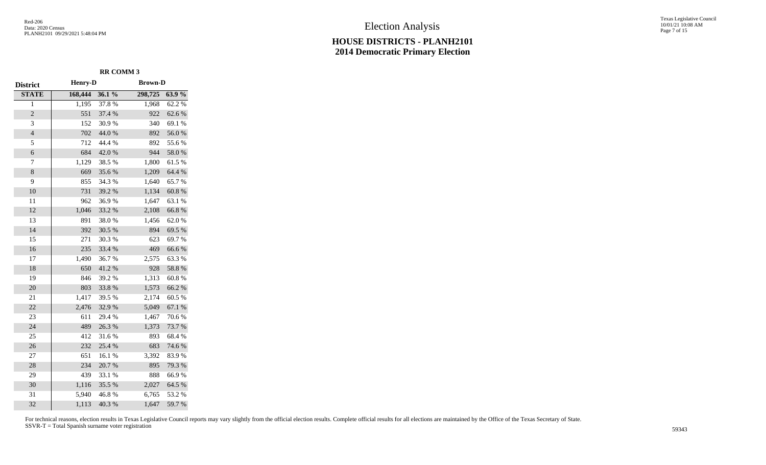Texas Legislative Council 10/01/21 10:08 AM Page 7 of 15

|                 |                |        | <b>RR COMM 3</b> |        |  |  |  |  |  |
|-----------------|----------------|--------|------------------|--------|--|--|--|--|--|
| <b>District</b> | <b>Henry-D</b> |        | <b>Brown-D</b>   |        |  |  |  |  |  |
| <b>STATE</b>    | 168,444        | 36.1%  | 298,725          | 63.9%  |  |  |  |  |  |
| 1               | 1,195          | 37.8%  | 1,968            | 62.2%  |  |  |  |  |  |
| $\overline{c}$  | 551            | 37.4 % | 922              | 62.6 % |  |  |  |  |  |
| 3               | 152            | 30.9%  | 340              | 69.1%  |  |  |  |  |  |
| $\overline{4}$  | 702            | 44.0 % | 892              | 56.0%  |  |  |  |  |  |
| 5               | 712            | 44.4 % | 892              | 55.6%  |  |  |  |  |  |
| 6               | 684            | 42.0%  | 944              | 58.0%  |  |  |  |  |  |
| 7               | 1,129          | 38.5 % | 1,800            | 61.5%  |  |  |  |  |  |
| $\,8\,$         | 669            | 35.6%  | 1,209            | 64.4 % |  |  |  |  |  |
| 9               | 855            | 34.3 % | 1,640            | 65.7%  |  |  |  |  |  |
| 10              | 731            | 39.2 % | 1,134            | 60.8%  |  |  |  |  |  |
| 11              | 962            | 36.9%  | 1,647            | 63.1 % |  |  |  |  |  |
| 12              | 1,046          | 33.2 % | 2,108            | 66.8%  |  |  |  |  |  |
| 13              | 891            | 38.0%  | 1,456            | 62.0%  |  |  |  |  |  |
| 14              | 392            | 30.5 % | 894              | 69.5 % |  |  |  |  |  |
| 15              | 271            | 30.3%  | 623              | 69.7%  |  |  |  |  |  |
| 16              | 235            | 33.4 % | 469              | 66.6%  |  |  |  |  |  |
| 17              | 1,490          | 36.7%  | 2,575            | 63.3%  |  |  |  |  |  |
| 18              | 650            | 41.2%  | 928              | 58.8 % |  |  |  |  |  |
| 19              | 846            | 39.2 % | 1,313            | 60.8%  |  |  |  |  |  |
| 20              | 803            | 33.8%  | 1,573            | 66.2%  |  |  |  |  |  |
| 21              | 1,417          | 39.5 % | 2,174            | 60.5%  |  |  |  |  |  |
| 22              | 2,476          | 32.9%  | 5,049            | 67.1 % |  |  |  |  |  |
| 23              | 611            | 29.4 % | 1,467            | 70.6%  |  |  |  |  |  |
| 24              | 489            | 26.3%  | 1,373            | 73.7 % |  |  |  |  |  |
| 25              | 412            | 31.6%  | 893              | 68.4%  |  |  |  |  |  |
| 26              | 232            | 25.4 % | 683              | 74.6%  |  |  |  |  |  |
| 27              | 651            | 16.1%  | 3,392            | 83.9%  |  |  |  |  |  |
| 28              | 234            | 20.7%  | 895              | 79.3 % |  |  |  |  |  |
| 29              | 439            | 33.1 % | 888              | 66.9%  |  |  |  |  |  |
| 30              | 1,116          | 35.5 % | 2,027            | 64.5 % |  |  |  |  |  |
| 31              | 5,940          | 46.8%  | 6,765            | 53.2%  |  |  |  |  |  |
| 32              | 1,113          | 40.3%  | 1,647            | 59.7%  |  |  |  |  |  |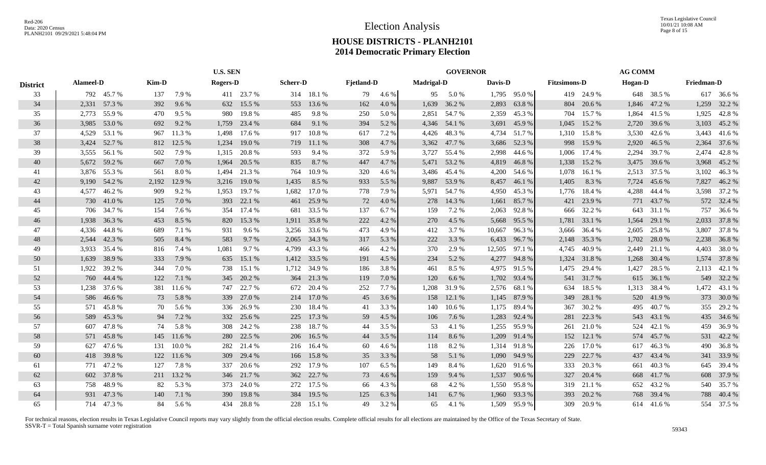|                 | <b>U.S. SEN</b>  |              |       |            | <b>GOVERNOR</b> |            |                 |            |                   |       | <b>AG COMM</b>    |              |         |              |                     |            |                |              |                   |              |
|-----------------|------------------|--------------|-------|------------|-----------------|------------|-----------------|------------|-------------------|-------|-------------------|--------------|---------|--------------|---------------------|------------|----------------|--------------|-------------------|--------------|
| <b>District</b> | <b>Alameel-D</b> |              | Kim-D |            | <b>Rogers-D</b> |            | <b>Scherr-D</b> |            | <b>Fjetland-D</b> |       | <b>Madrigal-D</b> |              | Davis-D |              | <b>Fitzsimons-D</b> |            | <b>Hogan-D</b> |              | <b>Friedman-D</b> |              |
| 33              |                  | 792 45.7 %   | 137   | 7.9%       |                 | 411 23.7 % |                 | 314 18.1 % | 79                | 4.6%  | 95                | 5.0 %        |         | 1,795 95.0 % |                     | 419 24.9 % |                | 648 38.5 %   |                   | 617 36.6 %   |
| 34              | 2,331            | 57.3 %       | 392   | 9.6 %      | 632             | 15.5 %     | 553             | 13.6 %     | 162               | 4.0 % | 1,639             | 36.2 %       | 2,893   | 63.8%        | 804                 | 20.6 %     |                | 1,846 47.2 % | 1,259             | 32.2 %       |
| 35              | 2,773            | 55.9%        | 470   | 9.5 %      | 980             | 19.8%      | 485             | 9.8%       | 250               | 5.0 % |                   | 2,851 54.7 % | 2,359   | 45.3 %       | 704                 | 15.7 %     | 1,864          | 41.5 %       | 1,925             | 42.8%        |
| 36              |                  | 3,985 53.0 % | 692   | 9.2 %      | 1,759           | 23.4 %     | 684             | 9.1 %      | 394               | 5.2 % |                   | 4,346 54.1 % | 3,691   | 45.9%        | 1,045               | 15.2 %     | 2,720          | 39.6 %       |                   | 3,103 45.2 % |
| 37              |                  | 4,529 53.1 % | 967   | 11.3 %     | 1,498           | 17.6 %     | 917             | 10.8%      | 617               | 7.2 % | 4,426             | 48.3%        | 4,734   | 51.7 %       | 1,310               | 15.8%      | 3,530          | 42.6 %       |                   | 3,443 41.6 % |
| 38              |                  | 3,424 52.7%  | 812   | 12.5 %     | 1,234           | 19.0%      | 719             | 11.1 %     | 308               | 4.7 % |                   | 3,362 47.7 % | 3,686   | 52.3 %       | 998                 | 15.9%      | 2,920          | 46.5 %       | 2,364             | 37.6 %       |
| 39              |                  | 3,555 56.1 % | 502   | 7.9 %      | 1.315           | 20.8%      | 593             | 9.4 %      | 372               | 5.9 % | 3,727             | 55.4 %       | 2,998   | 44.6 %       | 1,006               | 17.4 %     | 2,294          | 39.7 %       | 2,474             | 42.8%        |
| 40              |                  | 5,672 59.2 % | 667   | 7.0%       | 1,964           | 20.5 %     | 835             | 8.7%       | 447               | 4.7 % |                   | 5,471 53.2 % | 4,819   | 46.8%        | 1,338               | 15.2 %     | 3,475          | 39.6 %       | 3,968             | 45.2 %       |
| 41              |                  | 3,876 55.3 % | 561   | $8.0\ \%$  | 1.494           | 21.3 %     | 764             | 10.9%      | 320               | 4.6 % | 3,486             | 45.4 %       | 4,200   | 54.6 %       | 1,078               | 16.1 %     | 2,513          | 37.5 %       | 3,102             | 46.3%        |
| 42              | 9,190            | 54.2 %       | 2,192 | 12.9 %     | 3,216           | 19.0%      | 1,435           | 8.5 %      | 933               | 5.5 % | 9,887             | 53.9%        | 8,457   | 46.1 %       | 1,405               | 8.3%       | 7,724          | 45.6 %       | 7,827             | 46.2%        |
| 43              | 4.577            | 46.2%        | 909   | 9.2 %      | 1,953           | 19.7%      | 1,682           | 17.0 %     | 778               | 7.9%  | 5,971             | 54.7 %       | 4,950   | 45.3 %       | 1,776               | 18.4 %     | 4,288          | 44.4 %       | 3,598             | 37.2 %       |
| 44              |                  | 730 41.0 %   | 125   | 7.0%       | 393             | 22.1 %     | 461             | 25.9%      | 72                | 4.0 % | 278               | 14.3 %       | 1,661   | 85.7 %       | 421                 | 23.9%      |                | 771 43.7 %   |                   | 572 32.4 %   |
| 45              |                  | 706 34.7 %   | 154   | 7.6 %      | 354             | 17.4 %     | 681             | 33.5 %     | 137               | 6.7%  | 159               | 7.2 %        | 2,063   | 92.8%        | 666                 | 32.2 %     | 643            | 31.1 %       |                   | 757 36.6 %   |
| 46              |                  | 1,938 36.3 % | 453   | 8.5 %      | 820             | 15.3 %     | 1,911           | 35.8%      | 222               | 4.2 % | 270               | 4.5 %        | 5,668   | 95.5 %       | 1,781               | 33.1 %     | 1,564          | 29.1 %       |                   | 2,033 37.8 % |
| 47              |                  | 4,336 44.8%  | 689   | 7.1 %      | 931             | 9.6 %      | 3,256           | 33.6 %     | 473               | 4.9 % | 412               | 3.7%         | 10,667  | 96.3%        | 3.666               | 36.4 %     | 2,605          | 25.8%        |                   | 3,807 37.8 % |
| 48              |                  | 2,544 42.3 % | 505   | 8.4 %      | 583             | 9.7%       | 2,065           | 34.3 %     | 317               | 5.3 % | 222               | 3.3%         | 6,433   | 96.7%        | 2,148               | 35.3 %     | 1,702          | 28.0%        |                   | 2,238 36.8%  |
| 49              | 3,933            | 35.4 %       | 816   | 7.4 %      | 1,081           | 9.7%       | 4,799           | 43.3 %     | 466               | 4.2 % | 370               | 2.9 %        | 12,505  | 97.1 %       | 4,745               | 40.9%      | 2,449          | 21.1 %       |                   | 4,403 38.0 % |
| 50              | 1,639            | 38.9%        | 333   | 7.9 %      | 635             | 15.1 %     | 1,412           | 33.5 %     | 191               | 4.5 % | 234               | 5.2 %        | 4,277   | 94.8%        | 1,324               | 31.8%      | 1,268          | 30.4 %       | 1,574             | 37.8%        |
| 51              | 1,922            | 39.2 %       | 344   | 7.0 %      | 738             | 15.1 %     | 1,712           | 34.9 %     | 186               | 3.8%  | 461               | 8.5 %        | 4,975   | 91.5 %       | 1,475               | 29.4 %     | 1,427          | 28.5 %       |                   | 2,113 42.1 % |
| 52              | 760              | 44.4 %       | 122   | 7.1 %      | 345             | 20.2 %     | 364             | 21.3 %     | 119               | 7.0 % | 120               | 6.6 %        | 1,702   | 93.4 %       | 541                 | 31.7 %     | 615            | 36.1 %       | 549               | 32.2 %       |
| 53              | 1,238            | 37.6 %       | 381   | 11.6 %     | 747             | 22.7 %     | 672             | 20.4 %     | 252               | 7.7 % | 1,208             | 31.9%        | 2,576   | 68.1 %       | 634                 | 18.5 %     | 1,313          | 38.4 %       |                   | 1,472 43.1 % |
| 54              | 586              | 46.6 %       | 73    | 5.8 %      | 339             | 27.0 %     | 214             | 17.0 %     | 45                | 3.6 % | 158               | 12.1 %       | 1,145   | 87.9%        | 349                 | 28.1 %     | 520            | 41.9%        |                   | 373 30.0 %   |
| 55              |                  | 571 45.8%    | 70    | 5.6 %      | 336             | 26.9%      | 230             | 18.4 %     | 41                | 3.3 % | 140               | 10.6%        | 1,175   | 89.4%        | 367                 | 30.2%      | 495            | 40.7%        |                   | 355 29.2 %   |
| 56              |                  | 589 45.3 %   | 94    | 7.2 %      | 332             | 25.6 %     | 225             | 17.3 %     | 59                | 4.5 % | 106               | 7.6 %        | 1,283   | 92.4 %       | 281                 | 22.3 %     |                | 543 43.1 %   |                   | 435 34.6 %   |
| 57              |                  | 607 47.8 %   | 74    | 5.8%       | 308             | 24.2 %     |                 | 238 18.7%  | 44                | 3.5 % | 53                | 4.1 %        | 1,255   | 95.9%        | 261                 | 21.0%      |                | 524 42.1 %   | 459               | 36.9%        |
| 58              | 571              | 45.8%        | 145   | 11.6 %     | 280             | 22.5 %     |                 | 206 16.5 % | 44                | 3.5 % | 114               | 8.6%         | 1,209   | 91.4 %       | 152                 | 12.1 %     | 574            | 45.7 %       | 531               | 42.2 %       |
| 59              | 627              | 47.6 %       | 131   | 10.0%      | 282             | 21.4 %     |                 | 216 16.4 % | 60                | 4.6 % | 118               | 8.2%         | 1,314   | 91.8%        | 226                 | 17.0%      | 617            | 46.3%        | 490               | 36.8%        |
| 60              | 418              | 39.8%        |       | 122 11.6 % | 309             | 29.4 %     |                 | 166 15.8 % | 35                | 3.3 % | 58                | 5.1 %        | 1,090   | 94.9 %       | 229                 | 22.7 %     | 437            | 43.4 %       |                   | 341 33.9 %   |
| 61              |                  | 771 47.2 %   | 127   | 7.8%       | 337             | 20.6 %     |                 | 292 17.9 % | 107               | 6.5 % | 149               | 8.4%         |         | 1,620 91.6 % | 333                 | 20.3 %     | 661            | 40.3%        |                   | 645 39.4 %   |
| 62              |                  | 602 37.8%    | 211   | 13.2 %     | 346             | 21.7 %     |                 | 362 22.7 % | 73                | 4.6 % | 159               | 9.4 %        | 1,537   | 90.6 %       | 327                 | 20.4 %     | 668            | 41.7%        |                   | 608 37.9 %   |
| 63              |                  | 758 48.9%    | 82    | 5.3 %      | 373             | 24.0 %     | 272             | 17.5 %     | 66                | 4.3 % | 68                | 4.2 %        | 1,550   | 95.8%        | 319                 | 21.1 %     |                | 652 43.2 %   |                   | 540 35.7%    |
| 64              |                  | 931 47.3 %   | 140   | 7.1 %      | 390             | 19.8%      | 384             | 19.5 %     | 125               | 6.3%  | 141               | 6.7%         | 1,960   | 93.3%        | 393                 | 20.2 %     | 768            | 39.4 %       |                   | 788 40.4 %   |
| 65              |                  | 714 47.3 %   | 84    | 5.6 %      |                 | 434 28.8 % |                 | 228 15.1 % | 49                | 3.2 % | 65                | 4.1 %        |         | 1,509 95.9 % | 309                 | 20.9%      |                | 614 41.6 %   |                   | 554 37.5 %   |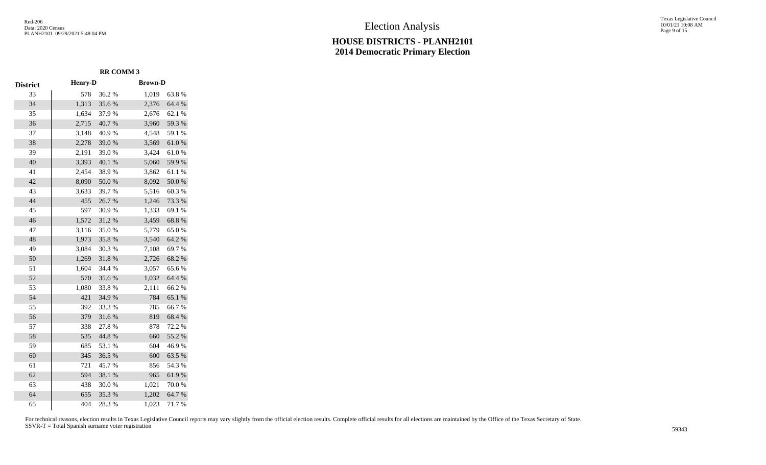# Election Analysis

# **HOUSE DISTRICTS - PLANH2101 2014 Democratic Primary Election**

Texas Legislative Council 10/01/21 10:08 AM Page 9 of 15

|                 |                | <b>RR COMM 3</b> |                |            |
|-----------------|----------------|------------------|----------------|------------|
| <b>District</b> | <b>Henry-D</b> |                  | <b>Brown-D</b> |            |
| 33              | 578            | 36.2%            | 1,019          | 63.8%      |
| 34              | 1,313          | 35.6%            | 2,376          | 64.4 %     |
| 35              | 1,634          | 37.9%            | 2,676          | 62.1 %     |
| 36              | 2,715          | 40.7%            | 3,960          | 59.3%      |
| 37              | 3,148          | 40.9%            | 4,548          | 59.1 %     |
| 38              | 2,278          | 39.0%            | 3,569          | $61.0\ \%$ |
| 39              | 2,191          | 39.0%            | 3,424          | $61.0\ \%$ |
| 40              | 3,393          | 40.1 %           | 5,060          | 59.9%      |
| 41              | 2,454          | 38.9%            | 3,862          | 61.1%      |
| 42              | 8,090          | 50.0%            | 8,092          | $50.0\;\%$ |
| 43              | 3,633          | 39.7%            | 5,516          | 60.3%      |
| 44              | 455            | 26.7%            | 1,246          | 73.3 %     |
| 45              | 597            | 30.9%            | 1,333          | 69.1 %     |
| 46              | 1,572          | 31.2%            | 3,459          | 68.8%      |
| 47              | 3,116          | 35.0%            | 5,779          | 65.0%      |
| 48              | 1,973          | 35.8%            | 3,540          | 64.2%      |
| 49              | 3,084          | 30.3%            | 7,108          | 69.7%      |
| 50              | 1,269          | 31.8%            | 2,726          | 68.2%      |
| 51              | 1,604          | 34.4 %           | 3,057          | 65.6%      |
| 52              | 570            | 35.6%            | 1,032          | 64.4 %     |
| 53              | 1,080          | 33.8%            | 2,111          | 66.2%      |
| 54              | 421            | 34.9%            | 784            | 65.1 %     |
| 55              | 392            | 33.3%            | 785            | 66.7%      |
| 56              | 379            | 31.6%            | 819            | 68.4%      |
| 57              | 338            | 27.8%            | 878            | 72.2 %     |
| 58              | 535            | 44.8 %           | 660            | 55.2 %     |
| 59              | 685            | 53.1 %           | 604            | 46.9%      |
| 60              | 345            | 36.5 %           | 600            | 63.5%      |
| 61              | 721            | 45.7%            | 856            | 54.3 %     |
| 62              | 594            | 38.1 %           | 965            | 61.9%      |
| 63              | 438            | 30.0%            | 1,021          | 70.0%      |
| 64              | 655            | 35.3%            | 1,202          | 64.7%      |
| 65              | 404            | 28.3%            | 1,023          | 71.7%      |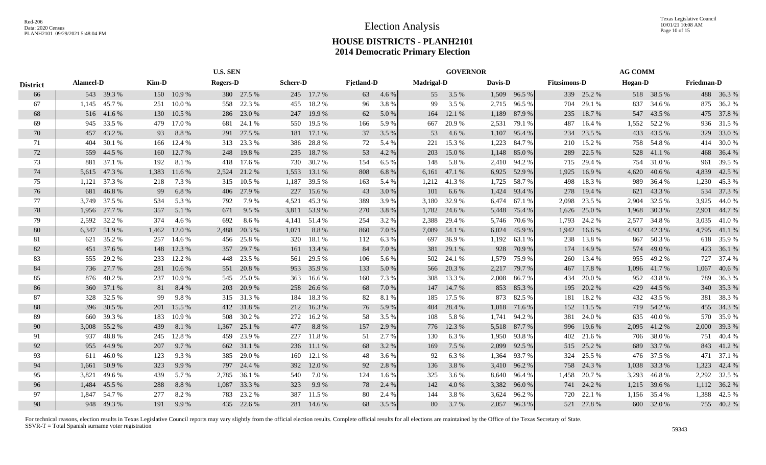Texas Legislative Council 10/01/21 10:08 AM Page 10 of 15

# **HOUSE DISTRICTS - PLANH2101 2014 Democratic Primary Election**

|                 | <b>U.S. SEN</b>  |              |       |            | <b>GOVERNOR</b> |            |                 |            |                   |       | <b>AG COMM</b>    |              |         |        |                     |            |                |            |                   |              |
|-----------------|------------------|--------------|-------|------------|-----------------|------------|-----------------|------------|-------------------|-------|-------------------|--------------|---------|--------|---------------------|------------|----------------|------------|-------------------|--------------|
| <b>District</b> | <b>Alameel-D</b> |              | Kim-D |            | Rogers-D        |            | <b>Scherr-D</b> |            | <b>Fjetland-D</b> |       | <b>Madrigal-D</b> |              | Davis-D |        | <b>Fitzsimons-D</b> |            | <b>Hogan-D</b> |            | <b>Friedman-D</b> |              |
| 66              |                  | 543 39.3 %   |       | 150 10.9%  |                 | 380 27.5 % |                 | 245 17.7 % | 63                | 4.6 % | 55                | 3.5 %        | 1,509   | 96.5 % |                     | 339 25.2 % |                | 518 38.5 % |                   | 488 36.3 %   |
| 67              | 1,145            | 45.7%        | 251   | 10.0%      | 558             | 22.3 %     | 455             | 18.2%      | 96                | 3.8%  | 99                | 3.5 %        | 2,715   | 96.5 % | 704                 | 29.1 %     | 837            | 34.6 %     |                   | 875 36.2 %   |
| 68              |                  | 516 41.6 %   | 130   | 10.5 %     | 286             | 23.0 %     | 247             | 19.9 %     | 62                | 5.0 % | 164               | 12.1 %       | 1,189   | 87.9%  | 235                 | 18.7%      | 547            | 43.5 %     |                   | 475 37.8 %   |
| 69              |                  | 945 33.5 %   | 479   | 17.0 %     | 681             | 24.1 %     | 550             | 19.5 %     | 166               | 5.9%  | 667               | 20.9%        | 2,531   | 79.1 % | 487                 | 16.4 %     | 1,552          | 52.2 %     |                   | 936 31.5 %   |
| 70              | 457              | 43.2 %       | 93    | 8.8%       | 291             | 27.5 %     |                 | 181 17.1 % | 37                | 3.5 % | 53                | 4.6 %        | 1,107   | 95.4 % | 234                 | 23.5 %     |                | 433 43.5 % |                   | 329 33.0 %   |
| 71              | 404              | 30.1 %       | 166   | 12.4 %     | 313             | 23.3 %     | 386             | 28.8%      | 72                | 5.4 % | 221               | 15.3 %       | 1,223   | 84.7 % | 210                 | 15.2 %     | 758            | 54.8%      |                   | 414 30.0 %   |
| 72              |                  | 559 44.5 %   | 160   | 12.7 %     | 248             | 19.8%      | 235             | 18.7%      | 53                | 4.2 % | 203               | 15.0%        | 1,148   | 85.0%  | 289                 | 22.5 %     |                | 528 41.1 % |                   | 468 36.4 %   |
| 73              | 881              | 37.1 %       | 192   | 8.1%       | 418             | 17.6 %     |                 | 730 30.7 % | 154               | 6.5 % | 148               | 5.8 %        | 2,410   | 94.2 % | 715                 | 29.4 %     | 754            | 31.0%      | 961               | 39.5 %       |
| 74              |                  | 5,615 47.3 % | 1,383 | 11.6 %     | 2,524           | 21.2%      | 1,553           | 13.1 %     | 808               | 6.8%  |                   | 6,161 47.1 % | 6,925   | 52.9%  | 1,925               | 16.9%      | 4,620          | 40.6 %     | 4,839             | 42.5 %       |
| 75              | 1.121            | 37.3 %       | 218   | 7.3 %      | 315             | 10.5 %     | 1,187           | 39.5 %     | 163               | 5.4 % | 1,212             | 41.3%        | 1,725   | 58.7%  | 498                 | 18.3%      | 989            | 36.4 %     | 1,230             | 45.3 %       |
| 76              | 681              | 46.8%        | 99    | 6.8%       | 406             | 27.9 %     | 227             | 15.6 %     | 43                | 3.0 % | 101               | 6.6 $%$      | 1,424   | 93.4 % | 278                 | 19.4 %     | 621            | 43.3 %     | 534               | 37.3 %       |
| 77              | 3.749            | 37.5 %       | 534   | 5.3 %      | 792             | 7.9 %      | 4,521           | 45.3%      | 389               | 3.9%  | 3,180             | 32.9 %       | 6,474   | 67.1 % | 2,098               | 23.5 %     | 2.904          | 32.5 %     | 3,925             | 44.0 %       |
| 78              | 1,956            | 27.7 %       | 357   | 5.1 %      | 671             | 9.5 %      | 3,811           | 53.9 %     | 270               | 3.8%  | 1,782             | 24.6 %       | 5,448   | 75.4 % | 1,626               | 25.0 %     | 1,968          | 30.3 %     | 2,901             | 44.7 %       |
| 79              | 2,592            | 32.2 %       | 374   | 4.6 %      | 692             | 8.6%       | 4,141           | 51.4 %     | 254               | 3.2 % | 2,388             | 29.4 %       | 5,746   | 70.6 % | 1,793               | 24.2 %     | 2,577          | 34.8%      |                   | 3,035 41.0 % |
| 80              |                  | 6,347 51.9 % | 1,462 | 12.0 %     | 2,488           | 20.3 %     | 1,071           | 8.8%       | 860               | 7.0 % |                   | 7,089 54.1 % | 6,024   | 45.9%  | 1,942               | 16.6 %     | 4,932          | 42.3 %     |                   | 4,795 41.1 % |
| 81              |                  | 621 35.2 %   | 257   | 14.6 %     |                 | 456 25.8 % |                 | 320 18.1 % | 112               | 6.3%  | 697               | 36.9 %       | 1,192   | 63.1 % | 238                 | 13.8%      | 867            | 50.3%      |                   | 618 35.9 %   |
| 82              |                  | 451 37.6 %   |       | 148 12.3 % |                 | 357 29.7 % |                 | 161 13.4 % | 84                | 7.0 % |                   | 381 29.1 %   | 928     | 70.9 % |                     | 174 14.9 % |                | 574 49.0 % |                   | 423 36.1 %   |
| 83              | 555              | 29.2 %       |       | 233 12.2 % | 448             | 23.5 %     |                 | 561 29.5 % | 106               | 5.6 % |                   | 502 24.1 %   | 1.579   | 75.9%  | 260                 | 13.4 %     | 955            | 49.2 %     |                   | 727 37.4 %   |
| 84              | 736              | 27.7 %       | 281   | 10.6%      | 551             | 20.8%      |                 | 953 35.9 % | 133               | 5.0%  | 566               | 20.3 %       | 2,217   | 79.7 % | 467                 | 17.8%      | 1,096          | 41.7 %     | 1,067             | 40.6 %       |
| 85              | 876              | 40.2 %       | 237   | 10.9%      | 545             | 25.0 %     | 363             | 16.6 %     | 160               | 7.3 % | 308               | 13.3 %       | 2,008   | 86.7%  | 434                 | 20.0 %     | 952            | 43.8%      | 789               | 36.3 %       |
| 86              | <b>360</b>       | 37.1 %       | 81    | 8.4 %      | 203             | 20.9%      | 258             | 26.6 %     | 68                | 7.0 % | 147               | 14.7 %       | 853     | 85.3%  | 195                 | 20.2 %     | 429            | 44.5 %     |                   | 340 35.3 %   |
| 87              | 328              | 32.5 %       | 99    | 9.8%       | 315             | 31.3 %     | 184             | 18.3%      | 82                | 8.1 % | 185               | 17.5 %       | 873     | 82.5 % | 181                 | 18.2%      |                | 432 43.5 % |                   | 381 38.3 %   |
| 88              | 396              | 30.5 %       | 201   | 15.5 %     | 412             | 31.8%      | 212             | 16.3 %     | 76                | 5.9%  | 404               | 28.4 %       | 1,018   | 71.6 % | 152                 | 11.5 %     |                | 719 54.2 % |                   | 455 34.3 %   |
| 89              | 660              | 39.3 %       | 183   | 10.9%      | 508             | 30.2 %     | 272             | 16.2%      | 58                | 3.5 % | 108               | 5.8 %        | 1,741   | 94.2 % | 381                 | 24.0%      | 635            | 40.0%      |                   | 570 35.9%    |
| 90              | 3,008            | 55.2%        | 439   | 8.1 %      | 1,367           | 25.1 %     | 477             | 8.8%       | 157               | 2.9 % | 776               | 12.3 %       | 5,518   | 87.7 % | 996                 | 19.6 %     | 2,095          | 41.2%      |                   | 2,000 39.3 % |
| 91              | 937              | 48.8%        | 245   | 12.8%      | 459             | 23.9%      |                 | 227 11.8 % | 51                | 2.7 % | 130               | 6.3%         | 1.950   | 93.8%  | 402                 | 21.6 %     | 706            | 38.0%      | 751               | 40.4 %       |
| 92              | 955              | 44.9%        | 207   | 9.7 %      |                 | 662 31.1 % |                 | 236 11.1 % | 68                | 3.2 % | 169               | 7.5 %        | 2,099   | 92.5 % | 515                 | 25.2 %     | 689            | 33.7 %     |                   | 843 41.2%    |
| 93              | 611              | 46.0%        | 123   | 9.3%       | 385             | 29.0 %     | 160             | 12.1 %     | 48                | 3.6 % | 92                | 6.3%         | 1,364   | 93.7 % | 324                 | 25.5 %     | 476            | 37.5 %     | 471               | 37.1 %       |
| 94              | 1,661            | 50.9 %       | 323   | 9.9%       | 797             | 24.4 %     | 392             | 12.0 %     | 92                | 2.8 % | 136               | 3.8%         | 3,410   | 96.2%  | 758                 | 24.3 %     | 1,038          | 33.3 %     | 1,323             | 42.4 %       |
| 95              | 3,821            | 49.6 %       | 439   | 5.7 %      | 2,785           | 36.1 %     | 540             | 7.0 %      | 124               | 1.6 % | 325               | 3.6 %        | 8,640   | 96.4 % | 1,458               | 20.7 %     | 3,293          | 46.8%      |                   | 2,292 32.5 % |
| 96              | 1,484            | 45.5 %       | 288   | 8.8%       | 1,087           | 33.3 %     | 323             | 9.9%       | 78                | 2.4 % | 142               | 4.0%         | 3,382   | 96.0%  | 741                 | 24.2 %     | 1,215          | 39.6 %     |                   | 1,112 36.2 % |
| 97              | 1.847            | 54.7 %       | 277   | 8.2%       | 783             | 23.2 %     | 387             | 11.5 %     | 80                | 2.4 % | 144               | 3.8%         | 3,624   | 96.2%  | 720                 | 22.1 %     | 1,156          | 35.4 %     |                   | 1,388 42.5 % |
| 98              |                  | 948 49.3%    | 191   | 9.9 %      |                 | 435 22.6 % |                 | 281 14.6 % | 68                | 3.5 % | 80                | 3.7 %        | 2,057   | 96.3%  |                     | 521 27.8 % |                | 600 32.0 % |                   | 755 40.2 %   |
|                 |                  |              |       |            |                 |            |                 |            |                   |       |                   |              |         |        |                     |            |                |            |                   |              |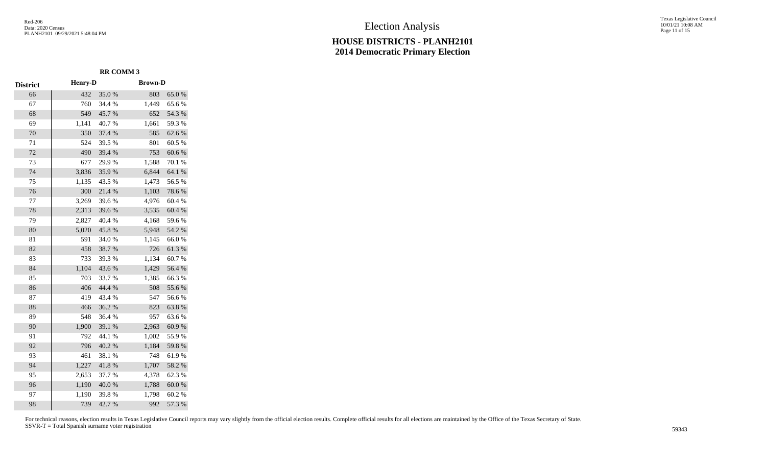Texas Legislative Council 10/01/21 10:08 AM Page 11 of 15

|                 |                | <b>RR COMM 3</b> |                |        |
|-----------------|----------------|------------------|----------------|--------|
| <b>District</b> | <b>Henry-D</b> |                  | <b>Brown-D</b> |        |
| 66              | 432            | 35.0%            | 803            | 65.0%  |
| 67              | 760            | 34.4 %           | 1,449          | 65.6%  |
| 68              | 549            | 45.7%            | 652            | 54.3 % |
| 69              | 1,141          | 40.7%            | 1,661          | 59.3%  |
| 70              | 350            | 37.4 %           | 585            | 62.6%  |
| 71              | 524            | 39.5 %           | 801            | 60.5%  |
| 72              | 490            | 39.4 %           | 753            | 60.6%  |
| 73              | 677            | 29.9%            | 1,588          | 70.1 % |
| 74              | 3,836          | 35.9%            | 6,844          | 64.1 % |
| 75              | 1,135          | 43.5 %           | 1,473          | 56.5%  |
| 76              | 300            | 21.4%            | 1,103          | 78.6%  |
| 77              | 3,269          | 39.6%            | 4,976          | 60.4%  |
| 78              | 2,313          | 39.6%            | 3,535          | 60.4%  |
| 79              | 2,827          | 40.4 %           | 4,168          | 59.6%  |
| 80              | 5,020          | 45.8%            | 5,948          | 54.2 % |
| 81              | 591            | 34.0%            | 1,145          | 66.0%  |
| 82              | 458            | 38.7%            | 726            | 61.3%  |
| 83              | 733            | 39.3 %           | 1,134          | 60.7%  |
| 84              | 1,104          | 43.6%            | 1,429          | 56.4 % |
| 85              | 703            | 33.7%            | 1,385          | 66.3%  |
| 86              | 406            | 44.4 %           | 508            | 55.6%  |
| 87              | 419            | 43.4 %           | 547            | 56.6%  |
| 88              | 466            | 36.2%            | 823            | 63.8%  |
| 89              | 548            | 36.4%            | 957            | 63.6%  |
| 90              | 1,900          | 39.1 %           | 2,963          | 60.9%  |
| 91              | 792            | 44.1 %           | 1,002          | 55.9%  |
| 92              | 796            | 40.2 %           | 1,184          | 59.8%  |
| 93              | 461            | 38.1 %           | 748            | 61.9%  |
| 94              | 1,227          | 41.8%            | 1,707          | 58.2 % |
| 95              | 2,653          | 37.7 %           | 4,378          | 62.3%  |
| 96              | 1,190          | 40.0%            | 1,788          | 60.0%  |
| 97              | 1,190          | 39.8%            | 1,798          | 60.2%  |
| 98              | 739            | 42.7%            | 992            | 57.3 % |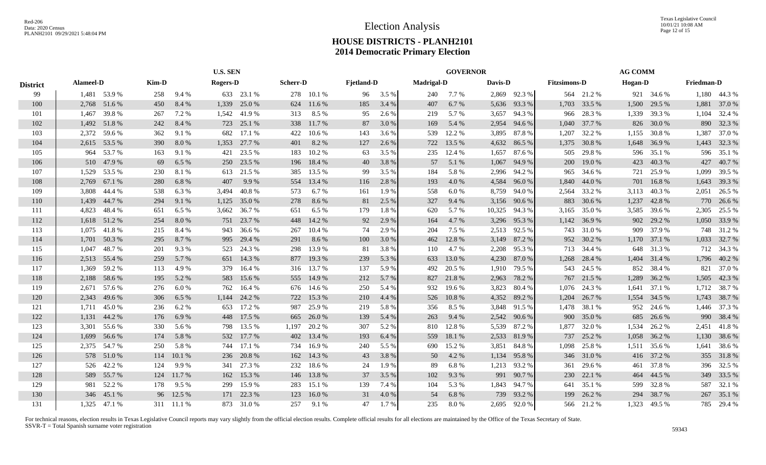|                 | <b>U.S. SEN</b>  |              |       |            |                 |            |                 | <b>GOVERNOR</b> |                   |       | <b>AG COMM</b>    |         |         |              |                     |            |         |              |                   |              |
|-----------------|------------------|--------------|-------|------------|-----------------|------------|-----------------|-----------------|-------------------|-------|-------------------|---------|---------|--------------|---------------------|------------|---------|--------------|-------------------|--------------|
| <b>District</b> | <b>Alameel-D</b> |              | Kim-D |            | <b>Rogers-D</b> |            | <b>Scherr-D</b> |                 | <b>Fjetland-D</b> |       | <b>Madrigal-D</b> |         | Davis-D |              | <b>Fitzsimons-D</b> |            | Hogan-D |              | <b>Friedman-D</b> |              |
| 99              |                  | 1,481 53.9 % | 258   | 9.4 %      |                 | 633 23.1 % |                 | 278 10.1 %      | 96                | 3.5 % | 240               | $7.7\%$ | 2,869   | 92.3 %       |                     | 564 21.2 % |         | 921 34.6 %   |                   | 1,180 44.3 % |
| 100             | 2,768            | 51.6 %       | 450   | 8.4 %      | 1,339           | 25.0 %     | 624             | 11.6 %          | 185               | 3.4 % | 407               | 6.7 %   | 5,636   | 93.3 %       | 1,703               | 33.5 %     | 1,500   | 29.5 %       | 1,881             | 37.0 %       |
| 101             | 1,467            | 39.8%        | 267   | 7.2 %      | 1,542           | 41.9%      | 313             | 8.5 %           | 95                | 2.6 % | 219               | 5.7 %   | 3,657   | 94.3 %       | 966                 | 28.3%      | 1,339   | 39.3 %       | 1,104             | 32.4 %       |
| 102             | 1,492            | 51.8%        | 242   | 8.4 %      | 723             | 25.1 %     | 338             | 11.7 %          | 87                | 3.0 % | 169               | 5.4 %   | 2,954   | 94.6 %       | 1,040               | 37.7 %     | 826     | 30.0 %       | 890               | 32.3 %       |
| 103             | 2,372            | 59.6 %       | 362   | 9.1 %      | 682             | 17.1 %     | 422             | 10.6%           | 143               | 3.6 % | 539               | 12.2 %  | 3,895   | 87.8%        | 1,207               | 32.2 %     | 1,155   | 30.8%        | 1,387             | 37.0 %       |
| 104             |                  | 2,615 53.5 % | 390   | $8.0\ \%$  | 1,353           | 27.7 %     | 401             | 8.2 %           | 127               | 2.6 % | 722               | 13.5 %  | 4,632   | 86.5 %       | 1,375               | 30.8%      | 1,648   | 36.9%        |                   | 1,443 32.3 % |
| 105             | 964              | 53.7 %       | 163   | 9.1 %      | 421             | 23.5 %     | 183             | 10.2%           | 63                | 3.5 % | 235               | 12.4 %  | 1,657   | 87.6 %       | 505                 | 29.8%      | 596     | 35.1 %       |                   | 596 35.1 %   |
| 106             |                  | 510 47.9 %   | 69    | 6.5 %      | 250             | 23.5 %     |                 | 196 18.4 %      | 40                | 3.8%  | 57                | 5.1 %   | 1,067   | 94.9 %       | 200                 | 19.0%      | 423     | 40.3 %       | 427               | 40.7 %       |
| 107             | 1,529            | 53.5 %       | 230   | 8.1 %      | 613             | 21.5 %     |                 | 385 13.5 %      | 99                | 3.5 % | 184               | 5.8 %   | 2,996   | 94.2 %       | 965                 | 34.6 %     | 721     | 25.9%        | 1,099             | 39.5 %       |
| 108             | 2,769            | 67.1 %       | 280   | 6.8%       | 407             | 9.9%       | 554             | 13.4 %          | 116               | 2.8 % | 193               | 4.0%    | 4,584   | 96.0%        | 1,840               | 44.0 %     | 701     | 16.8%        | 1,643             | 39.3 %       |
| 109             | 3,808            | 44.4 %       | 538   | 6.3%       | 3,494           | 40.8%      | 573             | 6.7 %           | 161               | 1.9 % | 558               | 6.0%    | 8,759   | 94.0 %       | 2,564               | 33.2 %     | 3,113   | 40.3%        | 2,051             | 26.5 %       |
| 110             | 1,439            | 44.7 %       | 294   | 9.1 %      | 1,125           | 35.0 %     | 278             | 8.6%            | 81                | 2.5 % | 327               | 9.4 %   | 3,156   | 90.6%        | 883                 | 30.6 %     | 1,237   | 42.8%        |                   | 770 26.6 %   |
| 111             | 4,823            | 48.4%        | 651   | 6.5 %      | 3,662           | 36.7 %     | 651             | 6.5 %           | 179               | 1.8%  | 620               | 5.7 %   | 10,325  | 94.3 %       | 3,165               | 35.0%      | 3,585   | 39.6 %       |                   | 2,305 25.5 % |
| 112             |                  | 1,618 51.2 % | 254   | 8.0%       | 751             | 23.7 %     | 448             | 14.2 %          | 92                | 2.9 % | 164               | 4.7 %   | 3,296   | 95.3 %       | 1,142               | 36.9%      | 902     | 29.2 %       |                   | 1,050 33.9 % |
| 113             |                  | 1,075 41.8 % | 215   | 8.4 %      | 943             | 36.6 %     | 267             | 10.4%           | 74                | 2.9 % | 204               | 7.5 %   | 2,513   | 92.5 %       | 743                 | 31.0%      | 909     | 37.9 %       |                   | 748 31.2 %   |
| 114             | 1,701            | 50.3 %       | 295   | 8.7 %      | 995             | 29.4 %     | 291             | 8.6 %           | 100               | 3.0 % | 462               | 12.8%   | 3,149   | 87.2 %       | 952                 | 30.2 %     |         | 1,170 37.1 % |                   | 1,033 32.7 % |
| 115             | 1,047            | 48.7%        | 201   | 9.3%       | 523             | 24.3 %     | 298             | 13.9 %          | 81                | 3.8 % | 110               | 4.7 %   | 2,208   | 95.3 %       | 713                 | 34.4 %     | 648     | 31.3 %       |                   | 712 34.3 %   |
| 116             | 2,513            | 55.4 %       | 259   | 5.7 %      | 651             | 14.3 %     | 877             | 19.3 %          | 239               | 5.3 % | 633               | 13.0 %  | 4,230   | 87.0%        | 1,268               | 28.4 %     | 1,404   | 31.4 %       |                   | 1,796 40.2 % |
| 117             | 1,369            | 59.2 %       | 113   | 4.9%       | 379             | 16.4 %     |                 | 316 13.7 %      | 137               | 5.9 % | 492               | 20.5 %  | 1,910   | 79.5 %       | 543                 | 24.5 %     | 852     | 38.4 %       | 821               | 37.0 %       |
| 118             | 2,188            | 58.6%        | 195   | 5.2 %      | 583             | 15.6 %     | 555             | 14.9 %          | 212               | 5.7 % | 827               | 21.8%   | 2,963   | 78.2 %       | 767                 | 21.5 %     | 1,289   | 36.2 %       | 1,505             | 42.3 %       |
| 119             | 2,671            | 57.6 %       | 276   | 6.0 $%$    | 762             | 16.4 %     | 676             | 14.6 %          | 250               | 5.4 % | 932               | 19.6 %  | 3,823   | 80.4 %       | 1,076               | 24.3 %     | 1,641   | 37.1 %       |                   | 1,712 38.7 % |
| 120             | 2,343            | 49.6 %       | 306   | 6.5 %      | 1,144           | 24.2 %     | 722             | 15.3 %          | 210               | 4.4 % | 526               | 10.8%   | 4,352   | 89.2 %       | 1,204               | 26.7 %     | 1,554   | 34.5 %       |                   | 1,743 38.7 % |
| 121             | 1,711            | 45.0%        | 236   | 6.2%       | 653             | 17.2 %     | 987             | 25.9 %          | 219               | 5.8 % | 356               | 8.5 %   | 3,848   | 91.5 %       | 1,478               | 38.1 %     | 952     | 24.6 %       |                   | 1,446 37.3 % |
| 122             | 1,131            | 44.2 %       | 176   | 6.9%       | 448             | 17.5 %     | 665             | 26.0 %          | 139               | 5.4 % | 263               | 9.4 %   | 2,542   | 90.6 %       | 900                 | 35.0%      | 685     | 26.6 %       |                   | 990 38.4 %   |
| 123             | 3,301            | 55.6 %       | 330   | 5.6 %      | 798             | 13.5 %     | 1,197           | 20.2 %          | 307               | 5.2 % | 810               | 12.8%   | 5,539   | 87.2%        | 1,877               | 32.0 %     | 1,534   | 26.2 %       | 2,451             | 41.8%        |
| 124             | 1,699            | 56.6 %       | 174   | 5.8%       | 532             | 17.7 %     | 402             | 13.4 %          | 193               | 6.4 % | 559               | 18.1 %  | 2,533   | 81.9%        | 737                 | 25.2 %     | 1,058   | 36.2 %       | 1,130             | 38.6%        |
| 125             | 2,375            | 54.7 %       | 250   | 5.8%       | 744             | 17.1 %     | 734             | 16.9%           | 240               | 5.5 % | 690               | 15.2 %  | 3,851   | 84.8 %       | 1,098               | 25.8%      | 1,511   | 35.6 %       | 1,641             | 38.6%        |
| 126             |                  | 578 51.0 %   | 114   | 10.1%      | 236             | 20.8 %     | 162             | 14.3 %          | 43                | 3.8 % | 50                | 4.2 %   | 1,134   | 95.8%        | 346                 | 31.0%      | 416     | 37.2 %       |                   | 355 31.8 %   |
| 127             |                  | 526 42.2 %   | 124   | 9.9%       | 341             | 27.3 %     | 232             | 18.6%           | 24                | 1.9 % | 89                | 6.8%    | 1,213   | 93.2 %       | 361                 | 29.6 %     | 461     | 37.8%        |                   | 396 32.5 %   |
| 128             |                  | 589 55.7 %   | 124   | 11.7 %     | 162             | 15.3 %     | 146             | 13.8%           | 37                | 3.5 % | 102               | 9.3 %   | 991     | 90.7 %       | <b>230</b>          | 22.1 %     | 464     | 44.5 %       |                   | 349 33.5 %   |
| 129             | 981              | 52.2 %       | 178   | 9.5%       | 299             | 15.9%      | 283             | 15.1 %          | 139               | 7.4 % | 104               | 5.3 %   | 1,843   | 94.7 %       | 641                 | 35.1 %     | 599     | 32.8%        |                   | 587 32.1 %   |
| 130             | 346              | 45.1 %       |       | 96 12.5 %  | 171             | 22.3 %     | 123             | 16.0%           | 31                | 4.0 % | 54                | 6.8%    | 739     | 93.2 %       | 199                 | 26.2 %     | 294     | 38.7 %       |                   | 267 35.1 %   |
| 131             |                  | 1,325 47.1 % |       | 311 11.1 % |                 | 873 31.0 % | 257             | 9.1 %           | 47                | 1.7 % | 235               | 8.0%    |         | 2,695 92.0 % |                     | 566 21.2 % |         | 1,323 49.5 % |                   | 785 29.4 %   |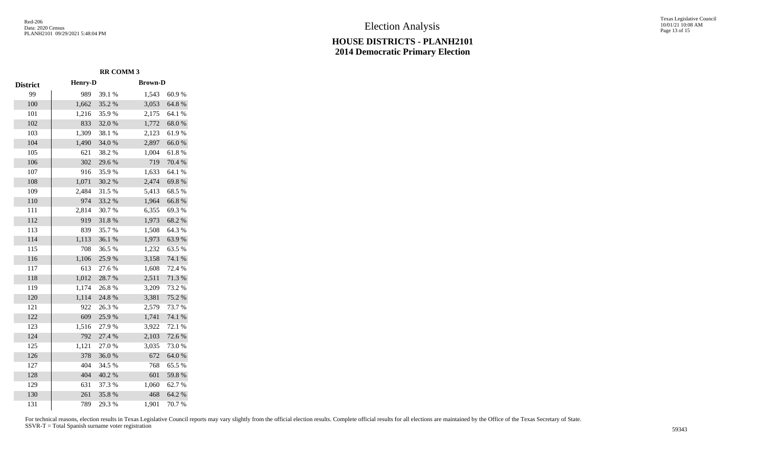# Election Analysis

#### **HOUSE DISTRICTS - PLANH2101 2014 Democratic Primary Election**

Texas Legislative Council 10/01/21 10:08 AM Page 13 of 15

|                 |                | <b>RR COMM 3</b> |                |        |
|-----------------|----------------|------------------|----------------|--------|
| <b>District</b> | <b>Henry-D</b> |                  | <b>Brown-D</b> |        |
| 99              | 989            | 39.1 %           | 1,543          | 60.9%  |
| 100             | 1,662          | 35.2%            | 3,053          | 64.8%  |
| 101             | 1,216          | 35.9%            | 2,175          | 64.1 % |
| 102             | 833            | 32.0%            | 1,772          | 68.0%  |
| 103             | 1,309          | 38.1 %           | 2,123          | 61.9%  |
| 104             | 1,490          | 34.0%            | 2,897          | 66.0%  |
| 105             | 621            | 38.2%            | 1,004          | 61.8%  |
| 106             | 302            | 29.6%            | 719            | 70.4 % |
| 107             | 916            | 35.9%            | 1,633          | 64.1 % |
| 108             | 1,071          | 30.2 %           | 2,474          | 69.8%  |
| 109             | 2,484          | 31.5 %           | 5,413          | 68.5%  |
| 110             | 974            | 33.2 %           | 1,964          | 66.8%  |
| 111             | 2,814          | 30.7%            | 6,355          | 69.3%  |
| 112             | 919            | 31.8%            | 1,973          | 68.2%  |
| 113             | 839            | 35.7%            | 1,508          | 64.3%  |
| 114             | 1,113          | 36.1%            | 1,973          | 63.9%  |
| 115             | 708            | 36.5%            | 1,232          | 63.5%  |
| 116             | 1,106          | 25.9%            | 3,158          | 74.1 % |
| 117             | 613            | 27.6 %           | 1,608          | 72.4 % |
| 118             | 1,012          | 28.7%            | 2,511          | 71.3 % |
| 119             | 1,174          | 26.8%            | 3,209          | 73.2 % |
| 120             | 1,114          | 24.8%            | 3,381          | 75.2 % |
| 121             | 922            | 26.3%            | 2,579          | 73.7 % |
| 122             | 609            | 25.9%            | 1,741          | 74.1 % |
| 123             | 1,516          | 27.9%            | 3,922          | 72.1 % |
| 124             | 792            | 27.4 %           | 2,103          | 72.6%  |
| 125             | 1,121          | 27.0%            | 3,035          | 73.0%  |
| 126             | 378            | 36.0%            | 672            | 64.0%  |
| 127             | 404            | 34.5 %           | 768            | 65.5%  |
| 128             | 404            | 40.2%            | 601            | 59.8%  |
| 129             | 631            | 37.3 %           | 1,060          | 62.7%  |
| 130             | 261            | 35.8%            | 468            | 64.2 % |
| 131             | 789            | 29.3%            | 1,901          | 70.7 % |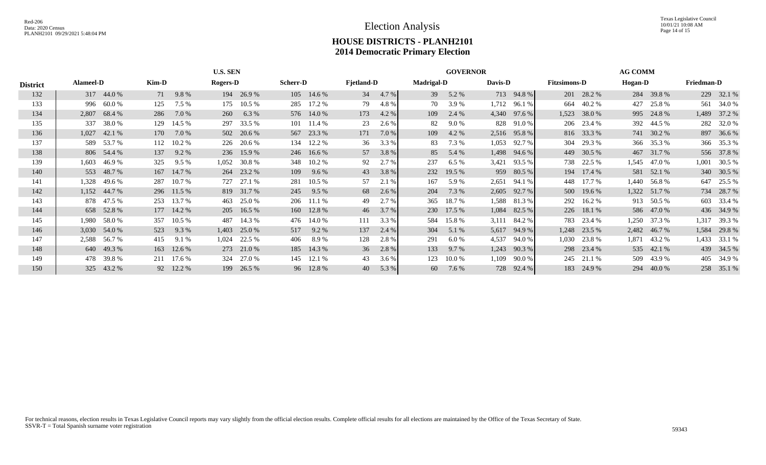Texas Legislative Council 10/01/21 10:08 AM Page 14 of 15

# **HOUSE DISTRICTS - PLANH2101 2014 Democratic Primary Election**

|                 |                  |              |       |            | <b>U.S. SEN</b> |            |                 |            |                   |       |                   | <b>GOVERNOR</b> |         |              |                     |            | <b>AG COMM</b> |              |                   |              |
|-----------------|------------------|--------------|-------|------------|-----------------|------------|-----------------|------------|-------------------|-------|-------------------|-----------------|---------|--------------|---------------------|------------|----------------|--------------|-------------------|--------------|
| <b>District</b> | <b>Alameel-D</b> |              | Kim-D |            | <b>Rogers-D</b> |            | <b>Scherr-D</b> |            | <b>Fjetland-D</b> |       | <b>Madrigal-D</b> |                 | Davis-D |              | <b>Fitzsimons-D</b> |            | Hogan-D        |              | <b>Friedman-D</b> |              |
| 132             |                  | 317 44.0 %   | 71    | 9.8%       |                 | 194 26.9 % |                 | 105 14.6 % | 34                | 4.7 % | 39                | 5.2 %           |         | 713 94.8 %   |                     | 201 28.2 % |                | 284 39.8 %   |                   | 229 32.1 %   |
| 133             | 996              | 60.0%        | 125   | 7.5 %      | 175             | $10.5\%$   | 285             | 17.2 %     | 79                | 4.8%  | 70                | 3.9%            | 1,712   | 96.1 %       | 664                 | 40.2 %     | 427            | 25.8%        | 561               | 34.0 %       |
| 134             | 2,807            | 68.4 %       | 286   | 7.0 %      | 260             | 6.3%       |                 | 576 14.0 % | 173               | 4.2 % | 109               | 2.4 %           | 4,340   | 97.6 %       | 1,523               | 38.0%      |                | 995 24.8 %   |                   | 1,489 37.2 % |
| 135             | 337              | 38.0%        | 129   | 14.5 %     | 297             | 33.5 %     |                 | 101 11.4 % | 23                | 2.6 % | 82                | 9.0 %           |         | 828 91.0 %   |                     | 206 23.4 % |                | 392 44.5 %   |                   | 282 32.0 %   |
| 136             | 1,027            | 42.1 %       | 170   | 7.0 %      | 502             | 20.6 %     |                 | 567 23.3 % | 171               | 7.0 % | 109               | 4.2 %           |         | 2,516 95.8 % |                     | 816 33.3 % |                | 741 30.2 %   |                   | 897 36.6 %   |
| 137             |                  | 589 53.7 %   | 112   | 10.2 %     | 226             | 20.6 %     |                 | 134 12.2 % | 36                | 3.3 % | 83                | 7.3 %           | 1,053   | 92.7%        | 304                 | 29.3 %     |                | 366 35.3 %   |                   | 366 35.3 %   |
| 138             |                  | 806 54.4 %   | 137   | 9.2 %      |                 | 236 15.9 % |                 | 246 16.6 % | 57                | 3.8 % | 85                | 5.4 %           | 1,498   | 94.6 %       | 449                 | 30.5 %     |                | 467 31.7 %   |                   | 556 37.8 %   |
| 139             | 1,603            | 46.9%        | 325   | 9.5%       | 1,052           | 30.8%      | 348             | 10.2 %     | 92                | 2.7 % | 237               | 6.5%            | 3,421   | 93.5 %       |                     | 738 22.5 % |                | 1,545 47.0 % | 1,001             | 30.5 %       |
| 140             |                  | 553 48.7 %   |       | 167 14.7 % |                 | 264 23.2 % | 109             | $9.6\%$    | 43                | 3.8 % | 232               | 19.5 %          |         | 959 80.5 %   |                     | 194 17.4 % |                | 581 52.1 %   |                   | 340 30.5 %   |
| 141             | 1,328            | 49.6 %       | 287   | 10.7 %     | 727             | 27.1 %     | 281             | $10.5\%$   | 57                | 2.1 % | 167               | 5.9 %           | 2,651   | 94.1 %       | 448                 | 17.7 %     | 1,440          | 56.8 %       |                   | 647 25.5 %   |
| 142             |                  | 1,152 44.7 % |       | 296 11.5 % | 819             | 31.7 %     | 245             | 9.5%       | 68                | 2.6 % | 204               | 7.3 %           | 2,605   | 92.7 %       |                     | 500 19.6 % |                | 1,322 51.7 % |                   | 734 28.7 %   |
| 143             |                  | 878 47.5 %   | 253   | 13.7 %     | 463             | 25.0 %     |                 | 206 11.1 % | 49                | 2.7 % | 365               | 18.7 %          | 1,588   | 81.3 %       | 292                 | 16.2 %     |                | 913 50.5 %   |                   | 603 33.4 %   |
| 144             |                  | 658 52.8 %   |       | 177 14.2 % |                 | 205 16.5 % |                 | 160 12.8 % | 46                | 3.7 % |                   | 230 17.5 %      | 1,084   | 82.5 %       |                     | 226 18.1 % |                | 586 47.0 %   |                   | 436 34.9 %   |
| 145             | 1,980            | 58.0 %       | 357   | 10.5%      | 487             | 14.3 %     |                 | 476 14.0 % | 111               | 3.3 % | 584               | 15.8%           | 3,111   | 84.2 %       | 783                 | 23.4 %     | 1,250          | 37.3 %       | 1,317             | 39.3 %       |
| 146             | 3,030            | 54.0 %       | 523   | 9.3 %      | 1,403           | 25.0 %     | 517             | 9.2 %      | 137               | 2.4 % | 304               | 5.1 %           | 5,617   | 94.9 %       | 1,248               | 23.5 %     |                | 2,482 46.7 % | 1,584             | 29.8%        |
| 147             | 2,588            | 56.7 %       | 415   | 9.1 %      | 1,024           | 22.5 %     | 406             | 8.9%       | 128               | 2.8 % | 291               | 6.0 %           | 4,537   | 94.0%        | 1,030               | 23.8%      | 1,871          | 43.2 %       | 1,433             | 33.1 %       |
| 148             |                  | 640 49.3 %   | 163   | 12.6 %     | 273             | 21.0 %     |                 | 185 14.3 % | 36                | 2.8 % | 133               | 9.7%            | 1,243   | 90.3 %       |                     | 298 23.4 % |                | 535 42.1 %   |                   | 439 34.5 %   |
| 149             | 478              | 39.8%        |       | 211 17.6 % | 324             | 27.0 %     |                 | 145 12.1 % | 43                | 3.6 % | 123               | $10.0\%$        | 1,109   | 90.0%        | 245                 | 21.1 %     |                | 509 43.9 %   |                   | 405 34.9 %   |
| 150             | 325              | 43.2 %       |       | 92 12.2 %  | 199             | 26.5 %     |                 | 96 12.8 %  | 40                | 5.3 % | 60                | 7.6 %           |         | 728 92.4 %   | 183                 | 24.9 %     | 294            | 40.0 %       |                   | 258 35.1 %   |